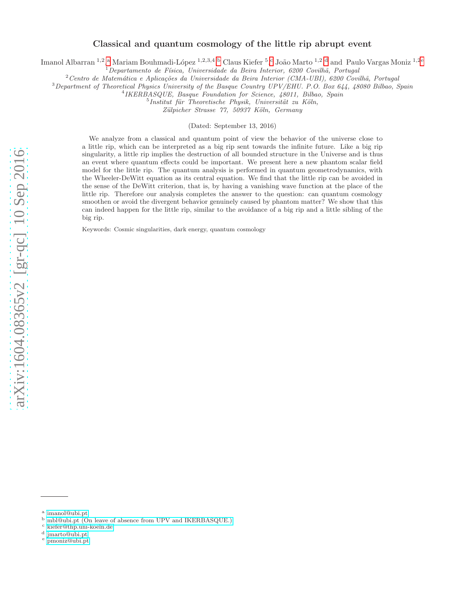# arXiv:1604.08365v2 [gr-qc] 10 Sep 2016 [arXiv:1604.08365v2 \[gr-qc\] 10 Sep 2016](http://arxiv.org/abs/1604.08365v2)

# Classical and quantum cosmology of the little rip abrupt event

Im[a](#page-0-0)nol Al[b](#page-0-1)arran <sup>1,2</sup>,<sup>a</sup> Mariam Bouhmadi-López <sup>1,2,3,4</sup>,<sup>b</sup> Claus Kiefer <sup>5</sup>,<sup>[c](#page-0-2)</sup> João Marto <sup>1,2</sup>,<sup>[d](#page-0-3)</sup> and Paulo Vargas Moniz <sup>1,[2e](#page-0-4)</sup>

<sup>1</sup> Departamento de Física, Universidade da Beira Interior, 6200 Covilhã, Portugal

<sup>2</sup> Centro de Matemática e Aplicações da Universidade da Beira Interior (CMA-UBI), 6200 Covilhã, Portugal

<sup>3</sup>*Department of Theoretical Physics University of the Basque Country UPV/EHU. P.O. Box 644, 48080 Bilbao, Spain*

4 *IKERBASQUE, Basque Foundation for Science, 48011, Bilbao, Spain*

 $^{5}$ Institut für Theoretische Physik, Universität zu Köln,

*Z¨ulpicher Strasse 77, 50937 K¨oln, Germany*

(Dated: September 13, 2016)

We analyze from a classical and quantum point of view the behavior of the universe close to a little rip, which can be interpreted as a big rip sent towards the infinite future. Like a big rip singularity, a little rip implies the destruction of all bounded structure in the Universe and is thus an event where quantum effects could be important. We present here a new phantom scalar field model for the little rip. The quantum analysis is performed in quantum geometrodynamics, with the Wheeler-DeWitt equation as its central equation. We find that the little rip can be avoided in the sense of the DeWitt criterion, that is, by having a vanishing wave function at the place of the little rip. Therefore our analysis completes the answer to the question: can quantum cosmology smoothen or avoid the divergent behavior genuinely caused by phantom matter? We show that this can indeed happen for the little rip, similar to the avoidance of a big rip and a little sibling of the big rip.

Keywords: Cosmic singularities, dark energy, quantum cosmology

<span id="page-0-0"></span><sup>&</sup>lt;sup>a</sup> [imanol@ubi.pt](mailto:imanol@ubi.pt)

<span id="page-0-1"></span><sup>b</sup> [mbl@ubi.pt \(On leave of absence from UPV and IKERBASQUE.\)](mailto:{\unhbox \voidb@x \hbox {mbl@ubi.pt (On leave of absence from UPV and IKERBASQUE.)}})

<span id="page-0-2"></span><sup>c</sup> [kiefer@thp.uni-koeln.de](mailto:kiefer@thp.uni-koeln.de)

<span id="page-0-3"></span><sup>d</sup> [jmarto@ubi.pt](mailto:jmarto@ubi.pt)

<span id="page-0-4"></span><sup>e</sup> [pmoniz@ubi.pt](mailto:pmoniz@ubi.pt)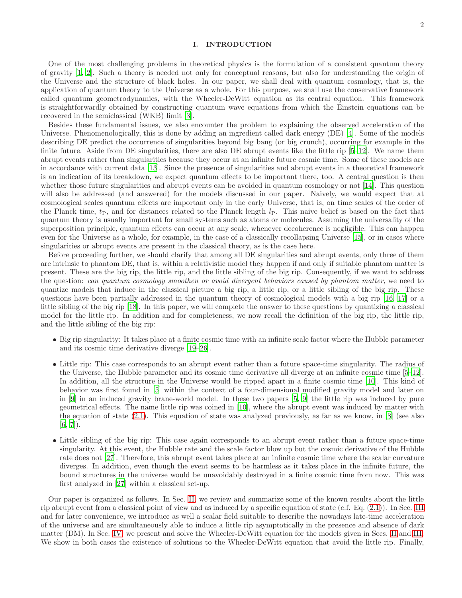# I. INTRODUCTION

One of the most challenging problems in theoretical physics is the formulation of a consistent quantum theory of gravity [\[1,](#page-15-0) [2\]](#page-15-1). Such a theory is needed not only for conceptual reasons, but also for understanding the origin of the Universe and the structure of black holes. In our paper, we shall deal with quantum cosmology, that is, the application of quantum theory to the Universe as a whole. For this purpose, we shall use the conservative framework called quantum geometrodynamics, with the Wheeler-DeWitt equation as its central equation. This framework is straightforwardly obtained by constructing quantum wave equations from which the Einstein equations can be recovered in the semiclassical (WKB) limit [\[3](#page-15-2)].

Besides these fundamental issues, we also encounter the problem to explaining the observed acceleration of the Universe. Phenomenologically, this is done by adding an ingredient called dark energy (DE) [\[4\]](#page-15-3). Some of the models describing DE predict the occurrence of singularities beyond big bang (or big crunch), occurring for example in the finite future. Aside from DE singularities, there are also DE abrupt events like the little rip [\[5](#page-15-4)[–12\]](#page-15-5). We name them abrupt events rather than singularities because they occur at an infinite future cosmic time. Some of these models are in accordance with current data [\[13\]](#page-15-6). Since the presence of singularities and abrupt events in a theoretical framework is an indication of its breakdown, we expect quantum effects to be important there, too. A central question is then whether those future singularities and abrupt events can be avoided in quantum cosmology or not [\[14\]](#page-15-7). This question will also be addressed (and answered) for the models discussed in our paper. Naively, we would expect that at cosmological scales quantum effects are important only in the early Universe, that is, on time scales of the order of the Planck time,  $t_P$ , and for distances related to the Planck length  $l_P$ . This naive belief is based on the fact that quantum theory is usually important for small systems such as atoms or molecules. Assuming the universality of the superposition principle, quantum effects can occur at any scale, whenever decoherence is negligible. This can happen even for the Universe as a whole, for example, in the case of a classically recollapsing Universe [\[15\]](#page-15-8), or in cases where singularities or abrupt events are present in the classical theory, as is the case here.

Before proceeding further, we should clarify that among all DE singularities and abrupt events, only three of them are intrinsic to phantom DE, that is, within a relativistic model they happen if and only if suitable phantom matter is present. These are the big rip, the little rip, and the little sibling of the big rip. Consequently, if we want to address the question: can quantum cosmology smoothen or avoid divergent behaviors caused by phantom matter, we need to quantize models that induce in the classical picture a big rip, a little rip, or a little sibling of the big rip. These questions have been partially addressed in the quantum theory of cosmological models with a big rip [\[16,](#page-15-9) [17\]](#page-15-10) or a little sibling of the big rip [\[18\]](#page-15-11). In this paper, we will complete the answer to these questions by quantizing a classical model for the little rip. In addition and for completeness, we now recall the definition of the big rip, the little rip, and the little sibling of the big rip:

- Big rip singularity: It takes place at a finite cosmic time with an infinite scale factor where the Hubble parameter and its cosmic time derivative diverge [\[19](#page-15-12)[–26\]](#page-16-0).
- Little rip: This case corresponds to an abrupt event rather than a future space-time singularity. The radius of the Universe, the Hubble parameter and its cosmic time derivative all diverge at an infinite cosmic time [\[5](#page-15-4)[–12\]](#page-15-5). In addition, all the structure in the Universe would be ripped apart in a finite cosmic time [\[10\]](#page-15-13). This kind of behavior was first found in [\[5\]](#page-15-4) within the context of a four-dimensional modified gravity model and later on in [\[9\]](#page-15-14) in an induced gravity brane-world model. In these two papers [\[5](#page-15-4), [9\]](#page-15-14) the little rip was induced by pure geometrical effects. The name little rip was coined in [\[10\]](#page-15-13), where the abrupt event was induced by matter with the equation of state [\(2.1\)](#page-2-0). This equation of state was analyzed previously, as far as we know, in [\[8\]](#page-15-15) (see also  $[6, 7]$  $[6, 7]$ .
- Little sibling of the big rip: This case again corresponds to an abrupt event rather than a future space-time singularity. At this event, the Hubble rate and the scale factor blow up but the cosmic derivative of the Hubble rate does not [\[27\]](#page-16-1). Therefore, this abrupt event takes place at an infinite cosmic time where the scalar curvature diverges. In addition, even though the event seems to be harmless as it takes place in the infinite future, the bound structures in the universe would be unavoidably destroyed in a finite cosmic time from now. This was first analyzed in [\[27\]](#page-16-1) within a classical set-up.

Our paper is organized as follows. In Sec. [II,](#page-2-1) we review and summarize some of the known results about the little rip abrupt event from a classical point of view and as induced by a specific equation of state (c.f. Eq. [\(2.1\)](#page-2-0)). In Sec. [III](#page-3-0) and for later convenience, we introduce as well a scalar field suitable to describe the nowadays late-time acceleration of the universe and are simultaneously able to induce a little rip asymptotically in the presence and absence of dark matter (DM). In Sec. [IV,](#page-5-0) we present and solve the Wheeler-DeWitt equation for the models given in Secs. [II](#page-2-1) and [III.](#page-3-0) We show in both cases the existence of solutions to the Wheeler-DeWitt equation that avoid the little rip. Finally,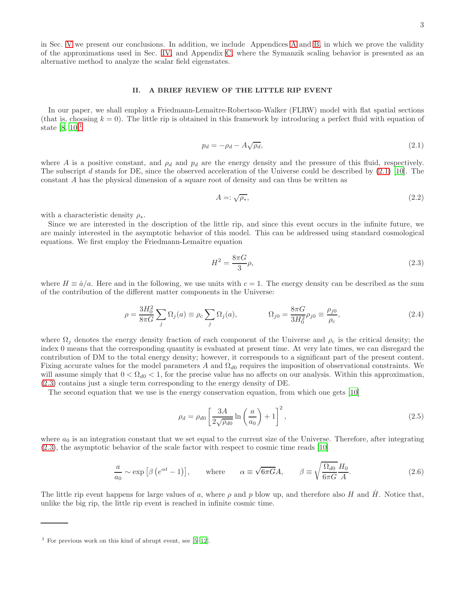in Sec. [V](#page-12-0) we present our conclusions. In addition, we include Appendices [A](#page-13-0) and [B,](#page-13-1) in which we prove the validity of the approximations used in Sec. [IV,](#page-5-0) and Appendix [C,](#page-14-0) where the Symanzik scaling behavior is presented as an alternative method to analyze the scalar field eigenstates.

## <span id="page-2-1"></span>II. A BRIEF REVIEW OF THE LITTLE RIP EVENT

In our paper, we shall employ a Friedmann-Lemaître-Robertson-Walker (FLRW) model with flat spatial sections (that is, choosing  $k = 0$ ). The little rip is obtained in this framework by introducing a perfect fluid with equation of state [\[8](#page-15-15),  $10$  $10$ ]<sup>1</sup>

<span id="page-2-0"></span>
$$
p_d = -\rho_d - A\sqrt{\rho_d},\tag{2.1}
$$

where A is a positive constant, and  $\rho_d$  and  $p_d$  are the energy density and the pressure of this fluid, respectively. The subscript  $d$  stands for DE, since the observed acceleration of the Universe could be described by  $(2.1)$  [\[10\]](#page-15-13). The constant A has the physical dimension of a square root of density and can thus be written as

$$
A =: \sqrt{\rho_*},\tag{2.2}
$$

with a characteristic density  $\rho_*$ .

Since we are interested in the description of the little rip, and since this event occurs in the infinite future, we are mainly interested in the asymptotic behavior of this model. This can be addressed using standard cosmological equations. We first employ the Friedmann-Lemaître equation

<span id="page-2-3"></span>
$$
H^2 = \frac{8\pi G}{3}\rho,\tag{2.3}
$$

where  $H \equiv \dot{a}/a$ . Here and in the following, we use units with  $c = 1$ . The energy density can be described as the sum of the contribution of the different matter components in the Universe:

$$
\rho = \frac{3H_0^2}{8\pi G} \sum_j \Omega_j(a) \equiv \rho_c \sum_j \Omega_j(a), \qquad \qquad \Omega_{j0} = \frac{8\pi G}{3H_0^2} \rho_{j0} \equiv \frac{\rho_{j0}}{\rho_c}, \qquad (2.4)
$$

where  $\Omega_i$  denotes the energy density fraction of each component of the Universe and  $\rho_c$  is the critical density; the index 0 means that the corresponding quantity is evaluated at present time. At very late times, we can disregard the contribution of DM to the total energy density; however, it corresponds to a significant part of the present content. Fixing accurate values for the model parameters A and  $\Omega_{d0}$  requires the imposition of observational constraints. We will assume simply that  $0 < \Omega_{d0} < 1$ , for the precise value has no affects on our analysis. Within this approximation, [\(2.3\)](#page-2-3) contains just a single term corresponding to the energy density of DE.

The second equation that we use is the energy conservation equation, from which one gets [\[10](#page-15-13)]

<span id="page-2-4"></span>
$$
\rho_d = \rho_{d0} \left[ \frac{3A}{2\sqrt{\rho_{d0}}} \ln \left( \frac{a}{a_0} \right) + 1 \right]^2, \tag{2.5}
$$

where  $a_0$  is an integration constant that we set equal to the current size of the Universe. Therefore, after integrating [\(2.3\)](#page-2-3), the asymptotic behavior of the scale factor with respect to cosmic time reads [\[10](#page-15-13)]

$$
\frac{a}{a_0} \sim \exp\left[\beta \left(e^{\alpha t} - 1\right)\right], \qquad \text{where} \qquad \alpha \equiv \sqrt{6\pi G}A, \qquad \beta \equiv \sqrt{\frac{\Omega_{d0}}{6\pi G}} \frac{H_0}{A}.
$$
 (2.6)

The little rip event happens for large values of a, where  $\rho$  and p blow up, and therefore also H and  $\dot{H}$ . Notice that, unlike the big rip, the little rip event is reached in infinite cosmic time.

<span id="page-2-2"></span><sup>&</sup>lt;sup>1</sup> For previous work on this kind of abrupt event, see  $[5-12]$ .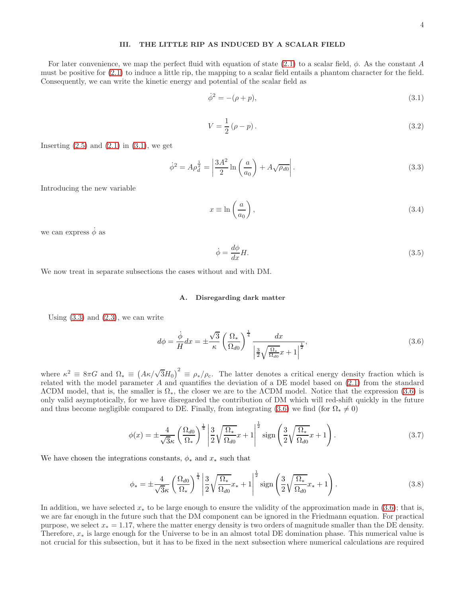# <span id="page-3-0"></span>III. THE LITTLE RIP AS INDUCED BY A SCALAR FIELD

For later convenience, we map the perfect fluid with equation of state [\(2.1\)](#page-2-0) to a scalar field,  $\phi$ . As the constant A must be positive for [\(2.1\)](#page-2-0) to induce a little rip, the mapping to a scalar field entails a phantom character for the field. Consequently, we can write the kinetic energy and potential of the scalar field as

<span id="page-3-1"></span>
$$
\dot{\phi}^2 = -(\rho + p),\tag{3.1}
$$

<span id="page-3-5"></span>
$$
V = \frac{1}{2} \left( \rho - p \right). \tag{3.2}
$$

Inserting  $(2.5)$  and  $(2.1)$  in  $(3.1)$ , we get

<span id="page-3-2"></span>
$$
\dot{\phi}^2 = A \rho_d^{\frac{1}{2}} = \left| \frac{3A^2}{2} \ln \left( \frac{a}{a_0} \right) + A \sqrt{\rho_{d0}} \right|.
$$
\n(3.3)

Introducing the new variable

$$
x \equiv \ln\left(\frac{a}{a_0}\right),\tag{3.4}
$$

we can express  $\dot{\phi}$  as

<span id="page-3-6"></span>
$$
\dot{\phi} = \frac{d\phi}{dx}H.\tag{3.5}
$$

We now treat in separate subsections the cases without and with DM.

# A. Disregarding dark matter

Using  $(3.3)$  and  $(2.3)$ , we can write

<span id="page-3-3"></span>
$$
d\phi = \frac{\dot{\phi}}{H}dx = \pm \frac{\sqrt{3}}{\kappa} \left(\frac{\Omega_*}{\Omega_{d0}}\right)^{\frac{1}{4}} \frac{dx}{\left|\frac{3}{2}\sqrt{\frac{\Omega_*}{\Omega_{d0}}}x + 1\right|^{\frac{1}{2}}},\tag{3.6}
$$

where  $\kappa^2 \equiv 8\pi G$  and  $\Omega_* \equiv (A\kappa/\sqrt{3}H_0)^2 \equiv \rho_*/\rho_c$ . The latter denotes a critical energy density fraction which is related with the model parameter A and quantifies the deviation of a DE model based on [\(2.1\)](#page-2-0) from the standard  $\Lambda$ CDM model, that is, the smaller is  $\Omega_*$ , the closer we are to the  $\Lambda$ CDM model. Notice that the expression [\(3.6\)](#page-3-3) is only valid asymptotically, for we have disregarded the contribution of DM which will red-shift quickly in the future and thus become negligible compared to DE. Finally, from integrating [\(3.6\)](#page-3-3) we find (for  $\Omega_* \neq 0$ )

<span id="page-3-4"></span>
$$
\phi(x) = \pm \frac{4}{\sqrt{3}\kappa} \left(\frac{\Omega_{d0}}{\Omega_*}\right)^{\frac{1}{4}} \left|\frac{3}{2}\sqrt{\frac{\Omega_*}{\Omega_{d0}}}x + 1\right|^{\frac{1}{2}} \operatorname{sign}\left(\frac{3}{2}\sqrt{\frac{\Omega_*}{\Omega_{d0}}}x + 1\right).
$$
\n(3.7)

We have chosen the integrations constants,  $\phi_*$  and  $x_*$  such that

<span id="page-3-7"></span>
$$
\phi_* = \pm \frac{4}{\sqrt{3}\kappa} \left(\frac{\Omega_{d0}}{\Omega_*}\right)^{\frac{1}{4}} \left|\frac{3}{2}\sqrt{\frac{\Omega_*}{\Omega_{d0}}}x_* + 1\right|^{\frac{1}{2}} \operatorname{sign}\left(\frac{3}{2}\sqrt{\frac{\Omega_*}{\Omega_{d0}}}x_* + 1\right). \tag{3.8}
$$

In addition, we have selected  $x_*$  to be large enough to ensure the validity of the approximation made in [\(3.6\)](#page-3-3); that is, we are far enough in the future such that the DM component can be ignored in the Friedmann equation. For practical purpose, we select  $x_* = 1.17$ , where the matter energy density is two orders of magnitude smaller than the DE density. Therefore, x∗ is large enough for the Universe to be in an almost total DE domination phase. This numerical value is not crucial for this subsection, but it has to be fixed in the next subsection where numerical calculations are required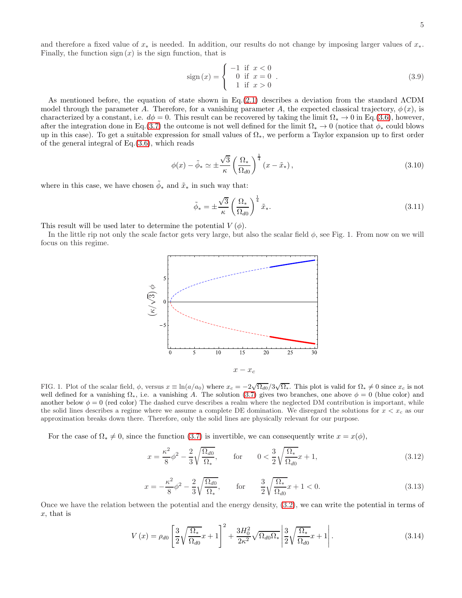5

and therefore a fixed value of  $x_*$  is needed. In addition, our results do not change by imposing larger values of  $x_*$ . Finally, the function  $sign(x)$  is the sign function, that is

$$
sign(x) = \begin{cases}\n-1 & \text{if } x < 0 \\
0 & \text{if } x = 0 \\
1 & \text{if } x > 0\n\end{cases} \tag{3.9}
$$

As mentioned before, the equation of state shown in Eq.[\(2.1\)](#page-2-0) describes a deviation from the standard ΛCDM model through the parameter A. Therefore, for a vanishing parameter A, the expected classical trajectory,  $\phi(x)$ , is characterized by a constant, i.e.  $d\phi = 0$ . This result can be recovered by taking the limit  $\Omega_* \to 0$  in Eq.[\(3.6\)](#page-3-3), however, after the integration done in Eq.[\(3.7\)](#page-3-4) the outcome is not well defined for the limit  $\Omega_* \to 0$  (notice that  $\phi_*$  could blows up in this case). To get a suitable expression for small values of  $\Omega_*$ , we perform a Taylor expansion up to first order of the general integral of Eq.[\(3.6\)](#page-3-3), which reads

<span id="page-4-2"></span>
$$
\phi(x) - \tilde{\phi}_* \simeq \pm \frac{\sqrt{3}}{\kappa} \left( \frac{\Omega_*}{\Omega_{d0}} \right)^{\frac{1}{4}} (x - \tilde{x}_*), \tag{3.10}
$$

where in this case, we have chosen  $\tilde{\phi}_*$  and  $\tilde{x}_*$  in such way that:

$$
\tilde{\phi}_* = \pm \frac{\sqrt{3}}{\kappa} \left( \frac{\Omega_*}{\Omega_{d0}} \right)^{\frac{1}{4}} \tilde{x}_*.
$$
\n(3.11)

This result will be used later to determine the potential  $V(\phi)$ .

In the little rip not only the scale factor gets very large, but also the scalar field  $\phi$ , see Fig. 1. From now on we will focus on this regime.



FIG. 1. Plot of the scalar field,  $\phi$ , versus  $x \equiv \ln(a/a_0)$  where  $x_c = -2\sqrt{\Omega_{d0}}/3\sqrt{\Omega_*}$ . This plot is valid for  $\Omega_* \neq 0$  since  $x_c$  is not well defined for a vanishing  $\Omega_*$ , i.e. a vanishing A. The solution [\(3.7\)](#page-3-4) gives two branches, one above  $\phi = 0$  (blue color) and another below  $\phi = 0$  (red color) The dashed curve describes a realm where the neglected DM contribution is important, while the solid lines describes a regime where we assume a complete DE domination. We disregard the solutions for  $x < x_c$  as our approximation breaks down there. Therefore, only the solid lines are physically relevant for our purpose.

For the case of  $\Omega_* \neq 0$ , since the function [\(3.7\)](#page-3-4) is invertible, we can consequently write  $x = x(\phi)$ ,

<span id="page-4-0"></span>
$$
x = \frac{\kappa^2}{8}\phi^2 - \frac{2}{3}\sqrt{\frac{\Omega_{d0}}{\Omega_*}}, \qquad \text{for} \qquad 0 < \frac{3}{2}\sqrt{\frac{\Omega_*}{\Omega_{d0}}}x + 1,\tag{3.12}
$$

$$
x = -\frac{\kappa^2}{8}\phi^2 - \frac{2}{3}\sqrt{\frac{\Omega_{d0}}{\Omega_*}}, \quad \text{for} \quad \frac{3}{2}\sqrt{\frac{\Omega_*}{\Omega_{d0}}}x + 1 < 0. \tag{3.13}
$$

Once we have the relation between the potential and the energy density, [\(3.2\)](#page-3-5), we can write the potential in terms of x, that is

<span id="page-4-1"></span>
$$
V(x) = \rho_{d0} \left[ \frac{3}{2} \sqrt{\frac{\Omega_*}{\Omega_{d0}}} x + 1 \right]^2 + \frac{3H_0^2}{2\kappa^2} \sqrt{\Omega_{d0} \Omega_*} \left| \frac{3}{2} \sqrt{\frac{\Omega_*}{\Omega_{d0}}} x + 1 \right|.
$$
 (3.14)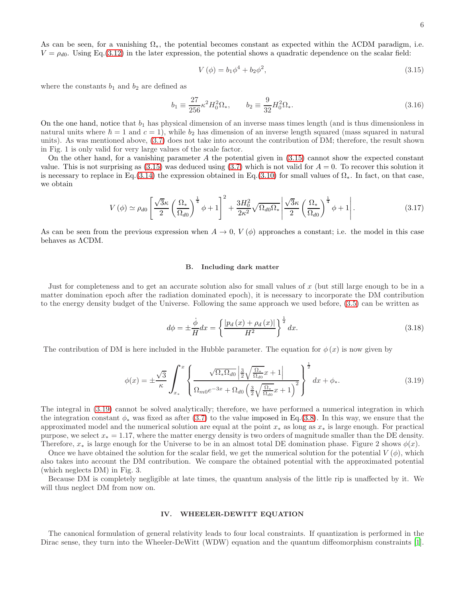As can be seen, for a vanishing  $\Omega_*$ , the potential becomes constant as expected within the ΛCDM paradigm, i.e.  $V = \rho_{d0}$ . Using Eq.[\(3.12\)](#page-4-0) in the later expression, the potential shows a quadratic dependence on the scalar field:

<span id="page-5-1"></span>
$$
V(\phi) = b_1 \phi^4 + b_2 \phi^2, \tag{3.15}
$$

where the constants  $b_1$  and  $b_2$  are defined as

$$
b_1 \equiv \frac{27}{256} \kappa^2 H_0^2 \Omega_*, \qquad b_2 \equiv \frac{9}{32} H_0^2 \Omega_*.
$$
 (3.16)

On the one hand, notice that  $b_1$  has physical dimension of an inverse mass times length (and is thus dimensionless in natural units where  $\hbar = 1$  and  $c = 1$ ), while  $b_2$  has dimension of an inverse length squared (mass squared in natural units). As was mentioned above, [\(3.7\)](#page-3-4) does not take into account the contribution of DM; therefore, the result shown in Fig. 1 is only valid for very large values of the scale factor.

On the other hand, for a vanishing parameter A the potential given in [\(3.15\)](#page-5-1) cannot show the expected constant value. This is not surprising as  $(3.15)$  was deduced using  $(3.7)$  which is not valid for  $A = 0$ . To recover this solution it is necessary to replace in Eq.[\(3.14\)](#page-4-1) the expression obtained in Eq.[\(3.10\)](#page-4-2) for small values of  $\Omega_*$ . In fact, on that case, we obtain

<span id="page-5-3"></span>
$$
V(\phi) \simeq \rho_{d0} \left[ \frac{\sqrt{3}\kappa}{2} \left( \frac{\Omega_*}{\Omega_{d0}} \right)^{\frac{1}{4}} \phi + 1 \right]^2 + \frac{3H_0^2}{2\kappa^2} \sqrt{\Omega_{d0} \Omega_*} \left| \frac{\sqrt{3}\kappa}{2} \left( \frac{\Omega_*}{\Omega_{d0}} \right)^{\frac{1}{4}} \phi + 1 \right]. \tag{3.17}
$$

As can be seen from the previous expression when  $A \to 0$ ,  $V(\phi)$  approaches a constant; i.e. the model in this case behaves as ΛCDM.

#### B. Including dark matter

Just for completeness and to get an accurate solution also for small values of x (but still large enough to be in a matter domination epoch after the radiation dominated epoch), it is necessary to incorporate the DM contribution to the energy density budget of the Universe. Following the same approach we used before, [\(3.5\)](#page-3-6) can be written as

$$
d\phi = \pm \frac{\dot{\phi}}{H} dx = \left\{ \frac{|p_d(x) + \rho_d(x)|}{H^2} \right\}^{\frac{1}{2}} dx.
$$
 (3.18)

The contribution of DM is here included in the Hubble parameter. The equation for  $\phi(x)$  is now given by

<span id="page-5-2"></span>
$$
\phi(x) = \pm \frac{\sqrt{3}}{\kappa} \int_{x_*}^{x} \left\{ \frac{\sqrt{\Omega_* \Omega_{d0}} \left| \frac{3}{2} \sqrt{\frac{\Omega_*}{\Omega_{d0}}} x + 1 \right|}{\Omega_{m0} e^{-3x} + \Omega_{d0} \left( \frac{3}{2} \sqrt{\frac{\Omega_*}{\Omega_{d0}}} x + 1 \right)^2} \right\}^{\frac{1}{2}} dx + \phi_*.
$$
\n(3.19)

The integral in [\(3.19\)](#page-5-2) cannot be solved analytically; therefore, we have performed a numerical integration in which the integration constant  $\phi_*$  was fixed as after [\(3.7\)](#page-3-4) to the value imposed in Eq.[\(3.8\)](#page-3-7). In this way, we ensure that the approximated model and the numerical solution are equal at the point  $x_*$  as long as  $x_*$  is large enough. For practical purpose, we select  $x_* = 1.17$ , where the matter energy density is two orders of magnitude smaller than the DE density. Therefore,  $x_*$  is large enough for the Universe to be in an almost total DE domination phase. Figure 2 shows  $\phi(x)$ .

Once we have obtained the solution for the scalar field, we get the numerical solution for the potential  $V(\phi)$ , which also takes into account the DM contribution. We compare the obtained potential with the approximated potential (which neglects DM) in Fig. 3.

Because DM is completely negligible at late times, the quantum analysis of the little rip is unaffected by it. We will thus neglect DM from now on.

#### <span id="page-5-0"></span>IV. WHEELER-DEWITT EQUATION

The canonical formulation of general relativity leads to four local constraints. If quantization is performed in the Dirac sense, they turn into the Wheeler-DeWitt (WDW) equation and the quantum diffeomorphism constraints [\[1\]](#page-15-0).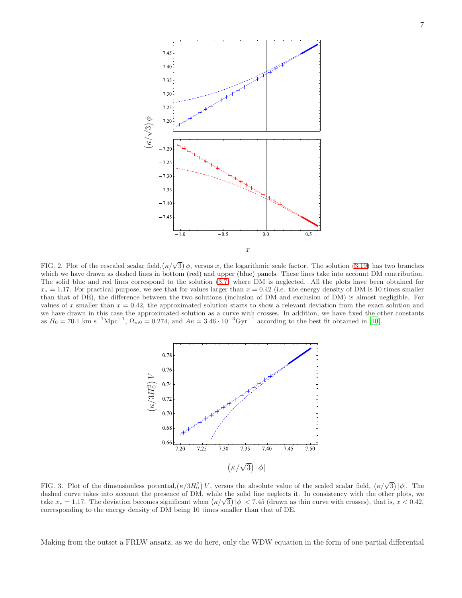

FIG. 2. Plot of the rescaled scalar field,  $(\kappa/\sqrt{3})$   $\phi$ , versus x, the logarithmic scale factor. The solution [\(3.19\)](#page-5-2) has two branches which we have drawn as dashed lines in bottom (red) and upper (blue) panels. These lines take into account DM contribution. The solid blue and red lines correspond to the solution [\(3.7\)](#page-3-4) where DM is neglected. All the plots have been obtained for  $x_* = 1.17$ . For practical purpose, we see that for values larger than  $x = 0.42$  (i.e. the energy density of DM is 10 times smaller than that of DE), the difference between the two solutions (inclusion of DM and exclusion of DM) is almost negligible. For values of x smaller than  $x = 0.42$ , the approximated solution starts to show a relevant deviation from the exact solution and we have drawn in this case the approximated solution as a curve with crosses. In addition, we have fixed the other constants as  $H_0 = 70.1 \text{ km s}^{-1} \text{Mpc}^{-1}$ ,  $\Omega_{m0} = 0.274$ , and  $A\kappa = 3.46 \cdot 10^{-3} \text{Gyr}^{-1}$  according to the best fit obtained in [\[10](#page-15-13)].



FIG. 3. Plot of the dimensionless potential,  $(\kappa/3H_0^2)V$ , versus the absolute value of the scaled scalar field,  $(\kappa/\sqrt{3}) |\phi|$ . The dashed curve takes into account the presence of DM, while the solid line neglects it. In consistency with the other plots, we take  $x_* = 1.17$ . The deviation becomes significant when  $(\kappa/\sqrt{3}) |\phi| < 7.45$  (drawn as thin curve with crosses), that is,  $x < 0.42$ , corresponding to the energy density of DM being 10 times smaller than that of DE.

Making from the outset a FRLW ansatz, as we do here, only the WDW equation in the form of one partial differential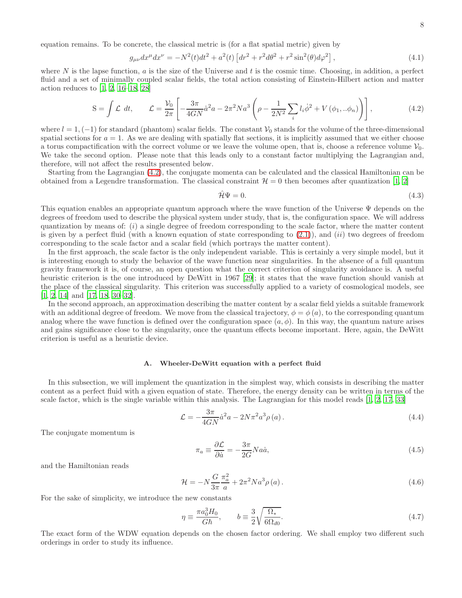equation remains. To be concrete, the classical metric is (for a flat spatial metric) given by

$$
g_{\mu\nu}dx^{\mu}dx^{\nu} = -N^2(t)dt^2 + a^2(t)\left[dr^2 + r^2d\theta^2 + r^2\sin^2(\theta)d\varphi^2\right],\tag{4.1}
$$

where N is the lapse function,  $a$  is the size of the Universe and  $t$  is the cosmic time. Choosing, in addition, a perfect fluid and a set of minimally coupled scalar fields, the total action consisting of Einstein-Hilbert action and matter action reduces to [\[1](#page-15-0), [2](#page-15-1), [16](#page-15-9)[–18,](#page-15-11) [28\]](#page-16-2)

<span id="page-7-0"></span>
$$
S = \int \mathcal{L} dt, \qquad \mathcal{L} = \frac{\mathcal{V}_0}{2\pi} \left[ -\frac{3\pi}{4GN} \dot{a}^2 a - 2\pi^2 Na^3 \left( \rho - \frac{1}{2N^2} \sum_i l_i \dot{\phi}^2 + V(\phi_1, \phi_n) \right) \right],
$$
(4.2)

where  $l = 1, (-1)$  for standard (phantom) scalar fields. The constant  $\mathcal{V}_0$  stands for the volume of the three-dimensional spatial sections for  $a = 1$ . As we are dealing with spatially flat sections, it is implicitly assumed that we either choose a torus compactification with the correct volume or we leave the volume open, that is, choose a reference volume  $\mathcal{V}_0$ . We take the second option. Please note that this leads only to a constant factor multiplying the Lagrangian and, therefore, will not affect the results presented below.

Starting from the Lagrangian [\(4.2\)](#page-7-0), the conjugate momenta can be calculated and the classical Hamiltonian can be obtained from a Legendre transformation. The classical constraint  $\mathcal{H} = 0$  then becomes after quantization [\[1](#page-15-0), [2](#page-15-1)]

<span id="page-7-2"></span>
$$
\hat{\mathcal{H}}\Psi = 0.\tag{4.3}
$$

This equation enables an appropriate quantum approach where the wave function of the Universe Ψ depends on the degrees of freedom used to describe the physical system under study, that is, the configuration space. We will address quantization by means of: (i) a single degree of freedom corresponding to the scale factor, where the matter content is given by a perfect fluid (with a known equation of state corresponding to  $(2.1)$ ), and  $(ii)$  two degrees of freedom corresponding to the scale factor and a scalar field (which portrays the matter content).

In the first approach, the scale factor is the only independent variable. This is certainly a very simple model, but it is interesting enough to study the behavior of the wave function near singularities. In the absence of a full quantum gravity framework it is, of course, an open question what the correct criterion of singularity avoidance is. A useful heuristic criterion is the one introduced by DeWitt in 1967 [\[29\]](#page-16-3); it states that the wave function should vanish at the place of the classical singularity. This criterion was successfully applied to a variety of cosmological models, see [\[1,](#page-15-0) [2,](#page-15-1) [14\]](#page-15-7) and [\[17](#page-15-10), [18](#page-15-11), [30](#page-16-4)[–32](#page-16-5)].

In the second approach, an approximation describing the matter content by a scalar field yields a suitable framework with an additional degree of freedom. We move from the classical trajectory,  $\phi = \phi(a)$ , to the corresponding quantum analog where the wave function is defined over the configuration space  $(a, \phi)$ . In this way, the quantum nature arises and gains significance close to the singularity, once the quantum effects become important. Here, again, the DeWitt criterion is useful as a heuristic device.

#### A. Wheeler-DeWitt equation with a perfect fluid

In this subsection, we will implement the quantization in the simplest way, which consists in describing the matter content as a perfect fluid with a given equation of state. Therefore, the energy density can be written in terms of the scale factor, which is the single variable within this analysis. The Lagrangian for this model reads [\[1,](#page-15-0) [2,](#page-15-1) [17,](#page-15-10) [33\]](#page-16-6)

$$
\mathcal{L} = -\frac{3\pi}{4GN}\dot{a}^2a - 2N\pi^2a^3\rho(a).
$$
 (4.4)

The conjugate momentum is

$$
\pi_a \equiv \frac{\partial \mathcal{L}}{\partial \dot{a}} = -\frac{3\pi}{2G} N a \dot{a},\tag{4.5}
$$

and the Hamiltonian reads

<span id="page-7-1"></span>
$$
\mathcal{H} = -N\frac{G}{3\pi}\frac{\pi_a^2}{a} + 2\pi^2 N a^3 \rho(a). \tag{4.6}
$$

For the sake of simplicity, we introduce the new constants

<span id="page-7-3"></span>
$$
\eta \equiv \frac{\pi a_0^3 H_0}{G\hbar}, \qquad b \equiv \frac{3}{2} \sqrt{\frac{\Omega_*}{6\Omega_{d0}}}.
$$
\n(4.7)

The exact form of the WDW equation depends on the chosen factor ordering. We shall employ two different such orderings in order to study its influence.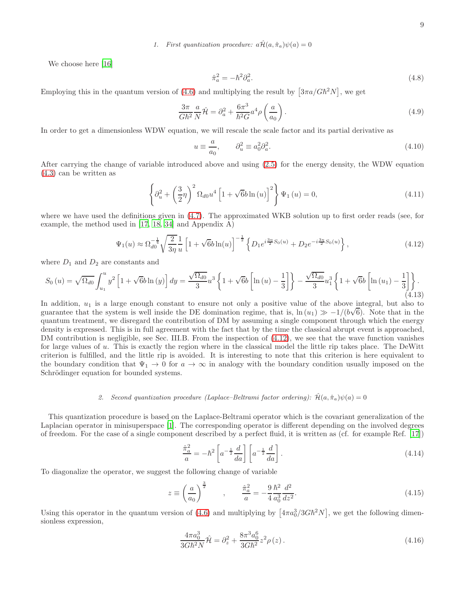# *1. First quantization procedure:*  $a\hat{\mathcal{H}}(a,\hat{\pi}_a)\psi(a) = 0$

We choose here [\[16](#page-15-9)]

$$
\hat{\pi}_a^2 = -\hbar^2 \partial_a^2. \tag{4.8}
$$

Employing this in the quantum version of [\(4.6\)](#page-7-1) and multiplying the result by  $[3\pi a/G\hbar^2 N]$ , we get

$$
\frac{3\pi}{G\hbar^2} \frac{a}{N} \hat{\mathcal{H}} = \partial_a^2 + \frac{6\pi^3}{\hbar^2 G} a^4 \rho \left(\frac{a}{a_0}\right). \tag{4.9}
$$

In order to get a dimensionless WDW equation, we will rescale the scale factor and its partial derivative as

$$
u \equiv \frac{a}{a_0}, \qquad \partial_u^2 \equiv a_0^2 \partial_a^2. \tag{4.10}
$$

After carrying the change of variable introduced above and using [\(2.5\)](#page-2-4) for the energy density, the WDW equation [\(4.3\)](#page-7-2) can be written as

$$
\left\{\partial_u^2 + \left(\frac{3}{2}\eta\right)^2 \Omega_{d0} u^4 \left[1 + \sqrt{6}b \ln(u)\right]^2\right\} \Psi_1(u) = 0,
$$
\n(4.11)

where we have used the definitions given in  $(4.7)$ . The approximated WKB solution up to first order reads (see, for example, the method used in [\[17](#page-15-10), [18,](#page-15-11) [34](#page-16-7)] and Appendix A)

<span id="page-8-0"></span>
$$
\Psi_1(u) \approx \Omega_{d0}^{-\frac{1}{4}} \sqrt{\frac{2}{3\eta}} \frac{1}{u} \left[ 1 + \sqrt{6}b \ln(u) \right]^{-\frac{1}{2}} \left\{ D_1 e^{i\frac{3\eta}{2} S_0(u)} + D_2 e^{-i\frac{3\eta}{2} S_0(u)} \right\},\tag{4.12}
$$

where  $D_1$  and  $D_2$  are constants and

$$
S_0(u) = \sqrt{\Omega_{d0}} \int_{u_1}^u y^2 \left[ 1 + \sqrt{6}b \ln(y) \right] dy = \frac{\sqrt{\Omega_{d0}}}{3} u^3 \left\{ 1 + \sqrt{6}b \left[ \ln(u) - \frac{1}{3} \right] \right\} - \frac{\sqrt{\Omega_{d0}}}{3} u_1^3 \left\{ 1 + \sqrt{6}b \left[ \ln(u_1) - \frac{1}{3} \right] \right\}.
$$
\n(4.13)

In addition,  $u_1$  is a large enough constant to ensure not only a positive value of the above integral, but also to guarantee that the system is well inside the DE domination regime, that is,  $\ln(u_1) \gg -1/(b\sqrt{6})$ . Note that in the quantum treatment, we disregard the contribution of DM by assuming a single component through which the energy density is expressed. This is in full agreement with the fact that by the time the classical abrupt event is approached, DM contribution is negligible, see Sec. III.B. From the inspection of [\(4.12\)](#page-8-0), we see that the wave function vanishes for large values of  $u$ . This is exactly the region where in the classical model the little rip takes place. The DeWitt criterion is fulfilled, and the little rip is avoided. It is interesting to note that this criterion is here equivalent to the boundary condition that  $\Psi_1 \to 0$  for  $a \to \infty$  in analogy with the boundary condition usually imposed on the Schrödinger equation for bounded systems.

# 2. Second quantization procedure (Laplace–Beltrami factor ordering):  $\hat{\mathcal{H}}(a, \hat{\pi}_a)\psi(a) = 0$

This quantization procedure is based on the Laplace-Beltrami operator which is the covariant generalization of the Laplacian operator in minisuperspace [\[1\]](#page-15-0). The corresponding operator is different depending on the involved degrees of freedom. For the case of a single component described by a perfect fluid, it is written as (cf. for example Ref. [\[17\]](#page-15-10))

$$
\frac{\hat{\pi}_a^2}{a} = -\hbar^2 \left[ a^{-\frac{1}{2}} \frac{d}{da} \right] \left[ a^{-\frac{1}{2}} \frac{d}{da} \right].
$$
\n(4.14)

To diagonalize the operator, we suggest the following change of variable

$$
z \equiv \left(\frac{a}{a_0}\right)^{\frac{3}{2}} , \qquad \frac{\hat{\pi}_a^2}{a} = -\frac{9}{4} \frac{\hbar^2}{a_0^3} \frac{d^2}{dz^2} . \tag{4.15}
$$

Using this operator in the quantum version of [\(4.6\)](#page-7-1) and multiplying by  $(4\pi a_0^3/3G\hbar^2N]$ , we get the following dimensionless expression,

$$
\frac{4\pi a_0^3}{3G\hbar^2 N}\hat{\mathcal{H}} = \partial_z^2 + \frac{8\pi^3 a_0^6}{3G\hbar^2} z^2 \rho(z).
$$
\n(4.16)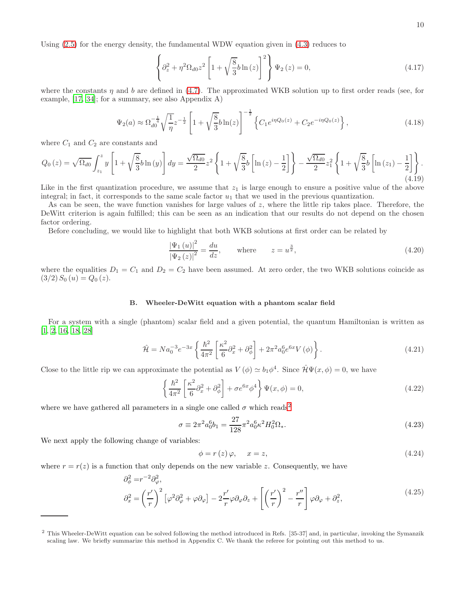Using  $(2.5)$  for the energy density, the fundamental WDW equation given in  $(4.3)$  reduces to

$$
\left\{\partial_z^2 + \eta^2 \Omega_{d0} z^2 \left[1 + \sqrt{\frac{8}{3}} b \ln(z)\right]^2\right\} \Psi_2(z) = 0, \tag{4.17}
$$

where the constants  $\eta$  and b are defined in [\(4.7\)](#page-7-3). The approximated WKB solution up to first order reads (see, for example, [\[17,](#page-15-10) [34\]](#page-16-7); for a summary, see also Appendix A)

$$
\Psi_2(a) \approx \Omega_{d0}^{-\frac{1}{4}} \sqrt{\frac{1}{\eta}} z^{-\frac{1}{2}} \left[ 1 + \sqrt{\frac{8}{3}} b \ln(z) \right]^{-\frac{1}{2}} \left\{ C_1 e^{i\eta Q_0(z)} + C_2 e^{-i\eta Q_0(z)} \right\},\tag{4.18}
$$

where  $C_1$  and  $C_2$  are constants and

$$
Q_0(z) = \sqrt{\Omega_{d0}} \int_{z_1}^z y \left[ 1 + \sqrt{\frac{8}{3}} b \ln(y) \right] dy = \frac{\sqrt{\Omega_{d0}}}{2} z^2 \left\{ 1 + \sqrt{\frac{8}{3}} b \left[ \ln(z) - \frac{1}{2} \right] \right\} - \frac{\sqrt{\Omega_{d0}}}{2} z_1^2 \left\{ 1 + \sqrt{\frac{8}{3}} b \left[ \ln(z_1) - \frac{1}{2} \right] \right\}.
$$
\n(4.19)

Like in the first quantization procedure, we assume that  $z_1$  is large enough to ensure a positive value of the above integral; in fact, it corresponds to the same scale factor  $u_1$  that we used in the previous quantization.

As can be seen, the wave function vanishes for large values of  $z$ , where the little rip takes place. Therefore, the DeWitt criterion is again fulfilled; this can be seen as an indication that our results do not depend on the chosen factor ordering.

Before concluding, we would like to highlight that both WKB solutions at first order can be related by

$$
\frac{|\Psi_1(u)|^2}{|\Psi_2(z)|^2} = \frac{du}{dz}, \quad \text{where} \quad z = u^{\frac{3}{2}}, \tag{4.20}
$$

where the equalities  $D_1 = C_1$  and  $D_2 = C_2$  have been assumed. At zero order, the two WKB solutions coincide as  $(3/2) S_0 (u) = Q_0 (z).$ 

# B. Wheeler-DeWitt equation with a phantom scalar field

For a system with a single (phantom) scalar field and a given potential, the quantum Hamiltonian is written as [\[1,](#page-15-0) [2,](#page-15-1) [16,](#page-15-9) [18,](#page-15-11) [28\]](#page-16-2)

$$
\hat{\mathcal{H}} = N a_0^{-3} e^{-3x} \left\{ \frac{\hbar^2}{4\pi^2} \left[ \frac{\kappa^2}{6} \partial_x^2 + \partial_\phi^2 \right] + 2\pi^2 a_0^6 e^{6x} V(\phi) \right\}.
$$
\n(4.21)

Close to the little rip we can approximate the potential as  $V(\phi) \simeq b_1 \phi^4$ . Since  $\hat{\mathcal{H}} \Psi(x, \phi) = 0$ , we have

<span id="page-9-1"></span>
$$
\left\{\frac{\hbar^2}{4\pi^2}\left[\frac{\kappa^2}{6}\partial_x^2 + \partial_\phi^2\right] + \sigma e^{6x}\phi^4\right\}\Psi(x,\phi) = 0,\tag{4.22}
$$

where we have gathered all parameters in a single one called  $\sigma$  which reads<sup>[2](#page-9-0)</sup>

$$
\sigma \equiv 2\pi^2 a_0^6 b_1 = \frac{27}{128} \pi^2 a_0^6 \kappa^2 H_0^2 \Omega_*.
$$
\n(4.23)

We next apply the following change of variables:

<span id="page-9-2"></span>
$$
\phi = r(z)\,\varphi, \quad x = z,\tag{4.24}
$$

where  $r = r(z)$  is a function that only depends on the new variable z. Consequently, we have

$$
\partial_{\phi}^{2} = r^{-2} \partial_{\varphi}^{2},
$$
\n
$$
\partial_{x}^{2} = \left(\frac{r'}{r}\right)^{2} \left[\varphi^{2} \partial_{\varphi}^{2} + \varphi \partial_{\varphi}\right] - 2\frac{r'}{r} \varphi \partial_{\varphi} \partial_{z} + \left[\left(\frac{r'}{r}\right)^{2} - \frac{r''}{r}\right] \varphi \partial_{\varphi} + \partial_{z}^{2},
$$
\n(4.25)

<span id="page-9-0"></span><sup>&</sup>lt;sup>2</sup> This Wheeler-DeWitt equation can be solved following the method introduced in Refs. [35-37] and, in particular, invoking the Symanzik scaling law. We briefly summarize this method in Appendix C. We thank the referee for pointing out this method to us.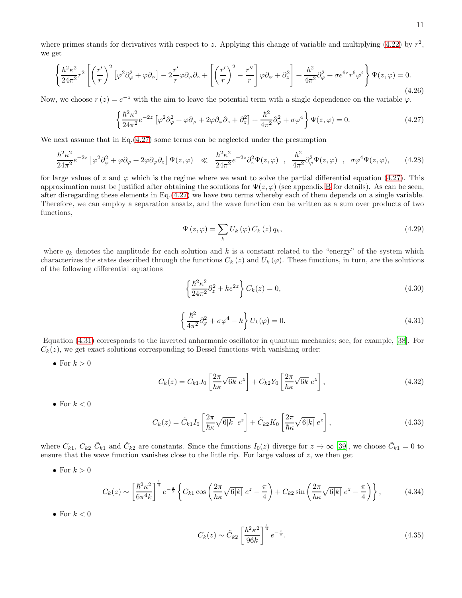$$
\left\{\frac{\hbar^2 \kappa^2}{24\pi^2} r^2 \left[ \left(\frac{r'}{r}\right)^2 \left[\varphi^2 \partial_{\varphi}^2 + \varphi \partial_{\varphi}\right] - 2\frac{r'}{r} \varphi \partial_{\varphi} \partial_z + \left[ \left(\frac{r'}{r}\right)^2 - \frac{r''}{r} \right] \varphi \partial_{\varphi} + \partial_z^2 \right] + \frac{\hbar^2}{4\pi^2} \partial_{\varphi}^2 + \sigma e^{6z} r^6 \varphi^4 \right\} \Psi(z, \varphi) = 0. \tag{4.26}
$$

Now, we choose  $r(z) = e^{-z}$  with the aim to leave the potential term with a single dependence on the variable  $\varphi$ .

<span id="page-10-0"></span>
$$
\left\{\frac{\hbar^2 \kappa^2}{24\pi^2} e^{-2z} \left[\varphi^2 \partial_\varphi^2 + \varphi \partial_\varphi + 2\varphi \partial_\varphi \partial_z + \partial_z^2\right] + \frac{\hbar^2}{4\pi^2} \partial_\varphi^2 + \sigma \varphi^4\right\} \Psi(z,\varphi) = 0.
$$
\n(4.27)

We next assume that in Eq.[\(4.27\)](#page-10-0) some terms can be neglected under the presumption

$$
\frac{\hbar^2 \kappa^2}{24\pi^2} e^{-2z} \left[ \varphi^2 \partial_\varphi^2 + \varphi \partial_\varphi + 2\varphi \partial_\varphi \partial_z \right] \Psi(z,\varphi) \ll \frac{\hbar^2 \kappa^2}{24\pi^2} e^{-2z} \partial_z^2 \Psi(z,\varphi) , \frac{\hbar^2}{4\pi^2} \partial_\varphi^2 \Psi(z,\varphi) , \sigma \varphi^4 \Psi(z,\varphi), \quad (4.28)
$$

for large values of z and  $\varphi$  which is the regime where we want to solve the partial differential equation [\(4.27\)](#page-10-0). This approximation must be justified after obtaining the solutions for  $\Psi(z, \varphi)$  (see appendix [B](#page-13-1) for details). As can be seen, after disregarding these elements in Eq.[\(4.27\)](#page-10-0) we have two terms whereby each of them depends on a single variable. Therefore, we can employ a separation ansatz, and the wave function can be written as a sum over products of two functions,

$$
\Psi(z,\varphi) = \sum_{k} U_k(\varphi) C_k(z) q_k, \qquad (4.29)
$$

where  $q_k$  denotes the amplitude for each solution and k is a constant related to the "energy" of the system which characterizes the states described through the functions  $C_k(z)$  and  $U_k(\varphi)$ . These functions, in turn, are the solutions of the following differential equations

$$
\left\{\frac{\hbar^2 \kappa^2}{24\pi^2} \partial_z^2 + ke^{2z}\right\} C_k(z) = 0,
$$
\n(4.30)

<span id="page-10-1"></span>
$$
\left\{\frac{\hbar^2}{4\pi^2}\partial_{\varphi}^2 + \sigma\varphi^4 - k\right\} U_k(\varphi) = 0.
$$
\n(4.31)

Equation [\(4.31\)](#page-10-1) corresponds to the inverted anharmonic oscillator in quantum mechanics; see, for example, [\[38\]](#page-16-8). For  $C_k(z)$ , we get exact solutions corresponding to Bessel functions with vanishing order:

• For  $k > 0$ 

$$
C_k(z) = C_{k1} J_0 \left[ \frac{2\pi}{\hbar \kappa} \sqrt{6k} \ e^z \right] + C_{k2} Y_0 \left[ \frac{2\pi}{\hbar \kappa} \sqrt{6k} \ e^z \right],\tag{4.32}
$$

• For  $k < 0$ 

$$
C_k(z) = \tilde{C}_{k1} I_0 \left[ \frac{2\pi}{\hbar \kappa} \sqrt{6|k|} \ e^z \right] + \tilde{C}_{k2} K_0 \left[ \frac{2\pi}{\hbar \kappa} \sqrt{6|k|} \ e^z \right],\tag{4.33}
$$

where  $C_{k1}$ ,  $C_{k2}$   $\tilde{C}_{k1}$  and  $\tilde{C}_{k2}$  are constants. Since the functions  $I_0(z)$  diverge for  $z \to \infty$  [\[39\]](#page-16-9), we choose  $\tilde{C}_{k1} = 0$  to ensure that the wave function vanishes close to the little rip. For large values of  $z$ , we then get

• For  $k > 0$ 

$$
C_k(z) \sim \left[\frac{\hbar^2 \kappa^2}{6\pi^4 k}\right]^{\frac{1}{4}} e^{-\frac{z}{2}} \left\{ C_{k1} \cos \left(\frac{2\pi}{\hbar \kappa} \sqrt{6|k|} \ e^z - \frac{\pi}{4}\right) + C_{k2} \sin \left(\frac{2\pi}{\hbar \kappa} \sqrt{6|k|} \ e^z - \frac{\pi}{4}\right) \right\},\tag{4.34}
$$

• For  $k < 0$ 

$$
C_k(z) \sim \tilde{C}_{k2} \left[ \frac{\hbar^2 \kappa^2}{96k} \right]^{\frac{1}{4}} e^{-\frac{z}{2}}.
$$
\n(4.35)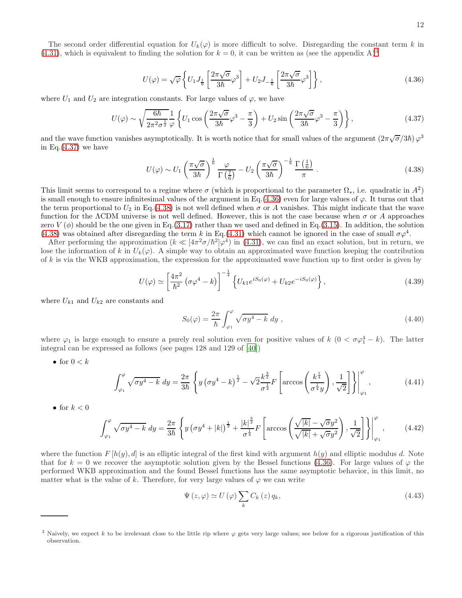The second order differential equation for  $U_k(\varphi)$  is more difficult to solve. Disregarding the constant term k in  $(4.31)$ , which is equivalent to finding the solution for  $k = 0$ , it can be written as (see the appendix A)<sup>[3](#page-11-0)</sup>

<span id="page-11-2"></span>
$$
U(\varphi) = \sqrt{\varphi} \left\{ U_1 J_{\frac{1}{6}} \left[ \frac{2\pi\sqrt{\sigma}}{3\hbar} \varphi^3 \right] + U_2 J_{-\frac{1}{6}} \left[ \frac{2\pi\sqrt{\sigma}}{3\hbar} \varphi^3 \right] \right\},
$$
\n(4.36)

where  $U_1$  and  $U_2$  are integration constants. For large values of  $\varphi$ , we have

<span id="page-11-1"></span>
$$
U(\varphi) \sim \sqrt{\frac{6\hbar}{2\pi^2 \sigma^{\frac{1}{2}}}} \frac{1}{\varphi} \left\{ U_1 \cos \left( \frac{2\pi \sqrt{\sigma}}{3\hbar} \varphi^3 - \frac{\pi}{3} \right) + U_2 \sin \left( \frac{2\pi \sqrt{\sigma}}{3\hbar} \varphi^3 - \frac{\pi}{3} \right) \right\},\tag{4.37}
$$

and the wave function vanishes asymptotically. It is worth notice that for small values of the argument  $(2\pi\sqrt{\sigma}/3\hbar)\varphi^3$ in Eq.[\(4.37\)](#page-11-1) we have

<span id="page-11-3"></span>
$$
U(\varphi) \sim U_1 \left(\frac{\pi\sqrt{\sigma}}{3\hbar}\right)^{\frac{1}{6}} \frac{\varphi}{\Gamma\left(\frac{7}{6}\right)} - U_2 \left(\frac{\pi\sqrt{\sigma}}{3\hbar}\right)^{-\frac{1}{6}} \frac{\Gamma\left(\frac{1}{6}\right)}{\pi} \tag{4.38}
$$

This limit seems to correspond to a regime where  $\sigma$  (which is proportional to the parameter  $\Omega_*$ , i.e. quadratic in  $A^2$ ) is small enough to ensure infinitesimal values of the argument in Eq.[\(4.36\)](#page-11-2) even for large values of  $\varphi$ . It turns out that the term proportional to  $U_2$  in Eq.[\(4.38\)](#page-11-3) is not well defined when  $\sigma$  or A vanishes. This might indicate that the wave function for the ΛCDM universe is not well defined. However, this is not the case because when  $\sigma$  or A approaches zero  $V(\phi)$  should be the one given in Eq.[\(3.17\)](#page-5-3) rather than we used and defined in Eq.[\(3.15\)](#page-5-1). In addition, the solution [\(4.38\)](#page-11-3) was obtained after disregarding the term k in Eq.[\(4.31\)](#page-10-1) which cannot be ignored in the case of small  $\sigma\varphi^4$ .

After performing the approximation  $(k \ll [4\pi^2\sigma/\hbar^2]\varphi^4)$  in [\(4.31\)](#page-10-1), we can find an exact solution, but in return, we lose the information of k in  $U_k(\varphi)$ . A simple way to obtain an approximated wave function keeping the contribution of  $k$  is via the WKB approximation, the expression for the approximated wave function up to first order is given by

$$
U(\varphi) \simeq \left[\frac{4\pi^2}{\hbar^2} \left(\sigma \varphi^4 - k\right)\right]^{-\frac{1}{4}} \left\{ U_{k1} e^{iS_0(\varphi)} + U_{k2} e^{-iS_0(\varphi)} \right\},\tag{4.39}
$$

where  $U_{k1}$  and  $U_{k2}$  are constants and

$$
S_0(\varphi) = \frac{2\pi}{\hbar} \int_{\varphi_1}^{\varphi} \sqrt{\sigma y^4 - k} \, dy \,, \tag{4.40}
$$

where  $\varphi_1$  is large enough to ensure a purely real solution even for positive values of  $k$   $(0 < \sigma \varphi_1^4 - k)$ . The latter integral can be expressed as follows (see pages 128 and 129 of [\[40\]](#page-16-10))

• for  $0 < k$ 

$$
\int_{\varphi_1}^{\varphi} \sqrt{\sigma y^4 - k} \, dy = \frac{2\pi}{3\hbar} \left\{ y \left( \sigma y^4 - k \right)^{\frac{1}{2}} - \sqrt{2} \frac{k^{\frac{3}{2}}}{\sigma^{\frac{1}{4}}} F \left[ \arccos \left( \frac{k^{\frac{1}{4}}}{\sigma^{\frac{1}{4}} y} \right), \frac{1}{\sqrt{2}} \right] \right\} \Big|_{\varphi_1}^{\varphi}, \tag{4.41}
$$

• for 
$$
k < 0
$$

$$
\int_{\varphi_1}^{\varphi} \sqrt{\sigma y^4 - k} \, dy = \frac{2\pi}{3\hbar} \left\{ y \left( \sigma y^4 + |k| \right)^{\frac{1}{2}} + \frac{|k|^{\frac{3}{2}}}{\sigma^{\frac{1}{4}}} F \left[ \arccos \left( \frac{\sqrt{|k|} - \sqrt{\sigma} y^2}{\sqrt{|k|} + \sqrt{\sigma} y^2} \right), \frac{1}{\sqrt{2}} \right] \right\} \Big|_{\varphi_1}^{\varphi},\tag{4.42}
$$

where the function  $F[h(y), d]$  is an elliptic integral of the first kind with argument  $h(y)$  and elliptic modulus d. Note that for  $k = 0$  we recover the asymptotic solution given by the Bessel functions [\(4.36\)](#page-11-2). For large values of  $\varphi$  the performed WKB approximation and the found Bessel functions has the same asymptotic behavior, in this limit, no matter what is the value of k. Therefore, for very large values of  $\varphi$  we can write

$$
\Psi(z,\varphi) \simeq U(\varphi) \sum_{k} C_{k}(z) q_{k}, \qquad (4.43)
$$

<span id="page-11-0"></span><sup>&</sup>lt;sup>3</sup> Naively, we expect k to be irrelevant close to the little rip where  $\varphi$  gets very large values; see below for a rigorous justification of this observation.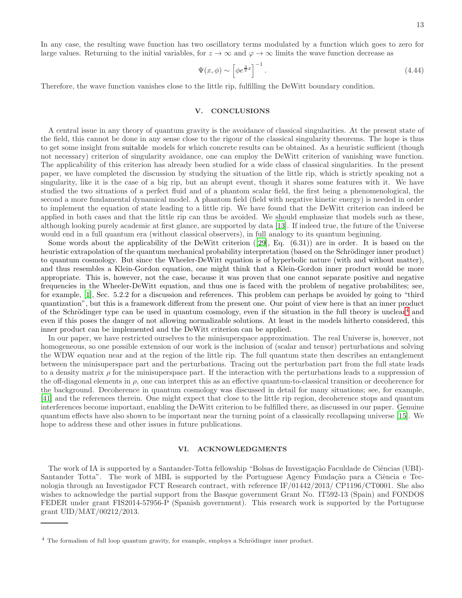In any case, the resulting wave function has two oscillatory terms modulated by a function which goes to zero for large values. Returning to the initial variables, for  $z \to \infty$  and  $\varphi \to \infty$  limits the wave function decrease as

$$
\Psi(x,\phi) \sim \left[\phi e^{\frac{3}{2}x}\right]^{-1}.\tag{4.44}
$$

Therefore, the wave function vanishes close to the little rip, fulfilling the DeWitt boundary condition.

# <span id="page-12-0"></span>V. CONCLUSIONS

A central issue in any theory of quantum gravity is the avoidance of classical singularities. At the present state of the field, this cannot be done in any sense close to the rigour of the classical singularity theorems. The hope is thus to get some insight from suitable models for which concrete results can be obtained. As a heuristic sufficient (though not necessary) criterion of singularity avoidance, one can employ the DeWitt criterion of vanishing wave function. The applicability of this criterion has already been studied for a wide class of classical singularities. In the present paper, we have completed the discussion by studying the situation of the little rip, which is strictly speaking not a singularity, like it is the case of a big rip, but an abrupt event, though it shares some features with it. We have studied the two situations of a perfect fluid and of a phantom scalar field, the first being a phenomenological, the second a more fundamental dynamical model. A phantom field (field with negative kinetic energy) is needed in order to implement the equation of state leading to a little rip. We have found that the DeWitt criterion can indeed be applied in both cases and that the little rip can thus be avoided. We should emphasize that models such as these, although looking purely academic at first glance, are supported by data [\[13\]](#page-15-6). If indeed true, the future of the Universe would end in a full quantum era (without classical observers), in full analogy to its quantum beginning.

Some words about the applicability of the DeWitt criterion([\[29](#page-16-3)], Eq. (6.31)) are in order. It is based on the heuristic extrapolation of the quantum mechanical probability interpretation (based on the Schrödinger inner product) to quantum cosmology. But since the Wheeler-DeWitt equation is of hyperbolic nature (with and without matter), and thus resembles a Klein-Gordon equation, one might think that a Klein-Gordon inner product would be more appropriate. This is, however, not the case, because it was proven that one cannot separate positive and negative frequencies in the Wheeler-DeWitt equation, and thus one is faced with the problem of negative probabilites; see, for example, [\[1](#page-15-0)], Sec. 5.2.2 for a discussion and references. This problem can perhaps be avoided by going to "third quantization", but this is a framework different from the present one. Our point of view here is that an inner product of the Schrödinger type can be used in quantum cosmology, even if the situation in the full theory is unclear<sup>[4](#page-12-1)</sup> and even if this poses the danger of not allowing normalizable solutions. At least in the models hitherto considered, this inner product can be implemented and the DeWitt criterion can be applied.

In our paper, we have restricted ourselves to the minisuperspace approximation. The real Universe is, however, not homogeneous, so one possible extension of our work is the inclusion of (scalar and tensor) perturbations and solving the WDW equation near and at the region of the little rip. The full quantum state then describes an entanglement between the minisuperspace part and the perturbations. Tracing out the perturbation part from the full state leads to a density matrix  $\rho$  for the minisuperspace part. If the interaction with the perturbations leads to a suppression of the off-diagonal elements in  $\rho$ , one can interpret this as an effective quantum-to-classical transition or decoherence for the background. Decoherence in quantum cosmology was discussed in detail for many situations; see, for example, [\[41\]](#page-16-11) and the references therein. One might expect that close to the little rip region, decoherence stops and quantum interferences become important, enabling the DeWitt criterion to be fulfilled there, as discussed in our paper. Genuine quantum effects have also shown to be important near the turning point of a classically recollapsing universe [\[15\]](#page-15-8). We hope to address these and other issues in future publications.

## VI. ACKNOWLEDGMENTS

The work of IA is supported by a Santander-Totta fellowship "Bolsas de Investigação Faculdade de Ciências (UBI)-Santander Totta". The work of MBL is supported by the Portuguese Agency Fundação para a Ciência e Tecnologia through an Investigador FCT Research contract, with reference IF/01442/2013/ CP1196/CT0001. She also wishes to acknowledge the partial support from the Basque government Grant No. IT592-13 (Spain) and FONDOS FEDER under grant FIS2014-57956-P (Spanish government). This research work is supported by the Portuguese grant UID/MAT/00212/2013.

<span id="page-12-1"></span> $4$  The formalism of full loop quantum gravity, for example, employs a Schrödinger inner product.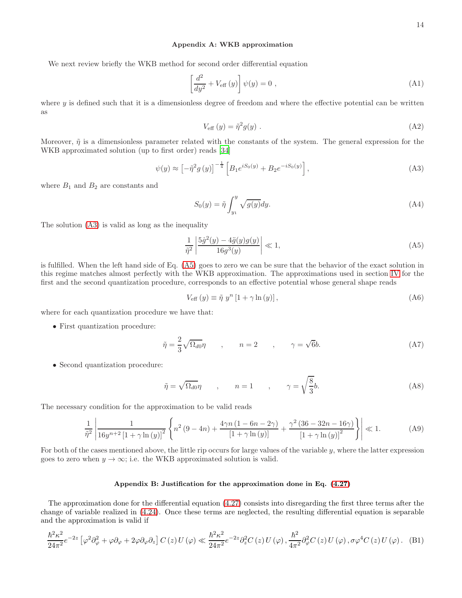# <span id="page-13-0"></span>Appendix A: WKB approximation

We next review briefly the WKB method for second order differential equation

$$
\left[\frac{d^2}{dy^2} + V_{\text{eff}}(y)\right]\psi(y) = 0 , \qquad (A1)
$$

where  $y$  is defined such that it is a dimensionless degree of freedom and where the effective potential can be written as

$$
V_{\text{eff}}(y) = \tilde{\eta}^2 g(y) \tag{A2}
$$

Moreover,  $\tilde{\eta}$  is a dimensionless parameter related with the constants of the system. The general expression for the WKB approximated solution (up to first order) reads [\[34\]](#page-16-7)

<span id="page-13-2"></span>
$$
\psi(y) \approx \left[ -\tilde{\eta}^2 g\left(y\right) \right]^{-\frac{1}{4}} \left[ B_1 e^{iS_0(y)} + B_2 e^{-iS_0(y)} \right],\tag{A3}
$$

where  $B_1$  and  $B_2$  are constants and

$$
S_0(y) = \tilde{\eta} \int_{y_1}^{y} \sqrt{g(y)} dy.
$$
 (A4)

The solution [\(A3\)](#page-13-2) is valid as long as the inequality

<span id="page-13-3"></span>
$$
\frac{1}{\tilde{\eta}^2} \left| \frac{5\dot{g}^2(y) - 4\ddot{g}(y)g(y)}{16g^3(y)} \right| \ll 1,
$$
\n(A5)

is fulfilled. When the left hand side of Eq. [\(A5\)](#page-13-3) goes to zero we can be sure that the behavior of the exact solution in this regime matches almost perfectly with the WKB approximation. The approximations used in section [IV](#page-5-0) for the first and the second quantization procedure, corresponds to an effective potential whose general shape reads

$$
V_{\text{eff}}\left(y\right) \equiv \tilde{\eta} y^{n} \left[1 + \gamma \ln\left(y\right)\right],\tag{A6}
$$

where for each quantization procedure we have that:

• First quantization procedure:

$$
\tilde{\eta} = \frac{2}{3}\sqrt{\Omega_{d0}}\eta \qquad , \qquad n = 2 \qquad , \qquad \gamma = \sqrt{6}b. \tag{A7}
$$

• Second quantization procedure:

$$
\tilde{\eta} = \sqrt{\Omega_{d0}}\eta \qquad , \qquad n = 1 \qquad , \qquad \gamma = \sqrt{\frac{8}{3}}b. \tag{A8}
$$

The necessary condition for the approximation to be valid reads

$$
\frac{1}{\tilde{\eta}^2} \left| \frac{1}{16y^{n+2} \left[1 + \gamma \ln(y)\right]^2} \left\{ n^2 \left(9 - 4n\right) + \frac{4\gamma n \left(1 - 6n - 2\gamma\right)}{\left[1 + \gamma \ln(y)\right]} + \frac{\gamma^2 \left(36 - 32n - 16\gamma\right)}{\left[1 + \gamma \ln(y)\right]^2} \right\} \right| \ll 1. \tag{A9}
$$

For both of the cases mentioned above, the little rip occurs for large values of the variable  $y$ , where the latter expression goes to zero when  $y \to \infty$ ; i.e. the WKB approximated solution is valid.

## <span id="page-13-1"></span>Appendix B: Justification for the approximation done in Eq. [\(4.27\)](#page-10-0)

The approximation done for the differential equation [\(4.27\)](#page-10-0) consists into disregarding the first three terms after the change of variable realized in [\(4.24\)](#page-9-2). Once these terms are neglected, the resulting differential equation is separable and the approximation is valid if

$$
\frac{\hbar^2 \kappa^2}{24\pi^2} e^{-2z} \left[ \varphi^2 \partial_{\varphi}^2 + \varphi \partial_{\varphi} + 2\varphi \partial_{\varphi} \partial_z \right] C(z) U(\varphi) \ll \frac{\hbar^2 \kappa^2}{24\pi^2} e^{-2z} \partial_z^2 C(z) U(\varphi), \frac{\hbar^2}{4\pi^2} \partial_{\varphi}^2 C(z) U(\varphi), \sigma \varphi^4 C(z) U(\varphi). \tag{B1}
$$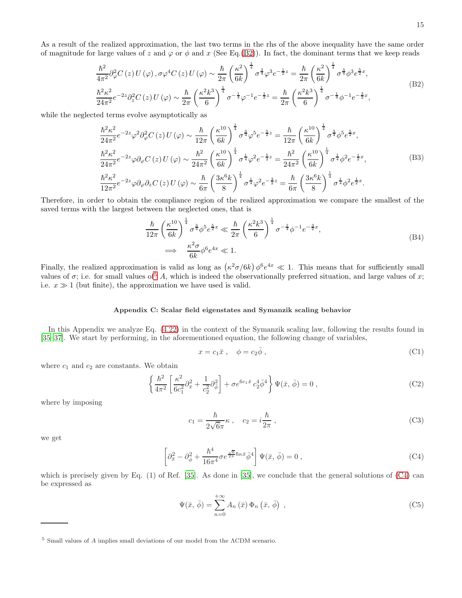As a result of the realized approximation, the last two terms in the rhs of the above inequality have the same order of magnitude for large values of z and  $\varphi$  or  $\phi$  and x (See Eq.[\(B2\)](#page-14-1)). In fact, the dominant terms that we keep reads

<span id="page-14-1"></span>
$$
\frac{\hbar^{2}}{4\pi^{2}}\partial_{\varphi}^{2}C\left(z\right)U\left(\varphi\right),\sigma\varphi^{4}C\left(z\right)U\left(\varphi\right)\sim\frac{\hbar}{2\pi}\left(\frac{\kappa^{2}}{6k}\right)^{\frac{1}{4}}\sigma^{\frac{3}{4}}\varphi^{3}e^{-\frac{1}{2}z}=\frac{\hbar}{2\pi}\left(\frac{\kappa^{2}}{6k}\right)^{\frac{1}{4}}\sigma^{\frac{3}{4}}\phi^{3}e^{\frac{5}{2}x},
$$
\n
$$
\frac{\hbar^{2}\kappa^{2}}{24\pi^{2}}e^{-2z}\partial_{z}^{2}C\left(z\right)U\left(\varphi\right)\sim\frac{\hbar}{2\pi}\left(\frac{\kappa^{2}k^{3}}{6}\right)^{\frac{1}{4}}\sigma^{-\frac{1}{4}}\varphi^{-1}e^{-\frac{1}{2}z}=\frac{\hbar}{2\pi}\left(\frac{\kappa^{2}k^{3}}{6}\right)^{\frac{1}{4}}\sigma^{-\frac{1}{4}}\phi^{-1}e^{-\frac{3}{2}x},
$$
\n(B2)

while the neglected terms evolve asymptotically as

$$
\frac{\hbar^2 \kappa^2}{24\pi^2} e^{-2z} \varphi^2 \partial_{\varphi}^2 C(z) U(\varphi) \sim \frac{\hbar}{12\pi} \left(\frac{\kappa^{10}}{6k}\right)^{\frac{1}{4}} \sigma^{\frac{3}{4}} \varphi^5 e^{-\frac{5}{2}z} = \frac{\hbar}{12\pi} \left(\frac{\kappa^{10}}{6k}\right)^{\frac{1}{4}} \sigma^{\frac{3}{4}} \phi^5 e^{\frac{5}{2}x},
$$
\n
$$
\frac{\hbar^2 \kappa^2}{24\pi^2} e^{-2z} \varphi \partial_{\varphi} C(z) U(\varphi) \sim \frac{\hbar^2}{24\pi^2} \left(\frac{\kappa^{10}}{6k}\right)^{\frac{1}{4}} \sigma^{\frac{1}{4}} \varphi^2 e^{-\frac{5}{2}z} = \frac{\hbar^2}{24\pi^2} \left(\frac{\kappa^{10}}{6k}\right)^{\frac{1}{4}} \sigma^{\frac{1}{4}} \phi^2 e^{-\frac{1}{2}x},
$$
\n(B3)\n
$$
\frac{\hbar^2 \kappa^2}{12\pi^2} e^{-2z} \varphi \partial_{\varphi} \partial_z C(z) U(\varphi) \sim \frac{\hbar}{6\pi} \left(\frac{3\kappa^6 k}{8}\right)^{\frac{1}{4}} \sigma^{\frac{1}{4}} \varphi^2 e^{-\frac{3}{2}z} = \frac{\hbar}{6\pi} \left(\frac{3\kappa^6 k}{8}\right)^{\frac{1}{4}} \sigma^{\frac{1}{4}} \phi^2 e^{\frac{1}{2}x}.
$$

Therefore, in order to obtain the compliance region of the realized approximation we compare the smallest of the saved terms with the largest between the neglected ones, that is

$$
\frac{\hbar}{12\pi} \left(\frac{\kappa^{10}}{6k}\right)^{\frac{1}{4}} \sigma^{\frac{3}{4}} \phi^5 e^{\frac{5}{2}x} \ll \frac{\hbar}{2\pi} \left(\frac{\kappa^2 k^3}{6}\right)^{\frac{1}{4}} \sigma^{-\frac{1}{4}} \phi^{-1} e^{-\frac{3}{2}x},
$$
\n
$$
\implies \frac{\kappa^2 \sigma}{6k} \phi^6 e^{4x} \ll 1.
$$
\n(B4)

Finally, the realized approximation is valid as long as  $(\kappa^2 \sigma/6k) \phi^6 e^{4x} \ll 1$ . This means that for sufficiently small values of  $\sigma$ ; i.e. for small values of<sup>[5](#page-14-2)</sup> A, which is indeed the observationally preferred situation, and large values of x; i.e.  $x \gg 1$  (but finite), the approximation we have used is valid.

# <span id="page-14-0"></span>Appendix C: Scalar field eigenstates and Symanzik scaling behavior

In this Appendix we analyze Eq. [\(4.22\)](#page-9-1) in the context of the Symanzik scaling law, following the results found in [\[35](#page-16-12)[–37\]](#page-16-13). We start by performing, in the aforementioned equation, the following change of variables,

$$
x = c_1 \bar{x} , \quad \phi = c_2 \bar{\phi} , \tag{C1}
$$

where  $c_1$  and  $c_2$  are constants. We obtain

$$
\left\{ \frac{\hbar^2}{4\pi^2} \left[ \frac{\kappa^2}{6c_1^2} \partial_{\bar{x}}^2 + \frac{1}{c_2^2} \partial_{\bar{\phi}}^2 \right] + \sigma e^{6c_1 \bar{x}} c_2^4 \bar{\phi}^4 \right\} \Psi(\bar{x}, \bar{\phi}) = 0 ,
$$
 (C2)

where by imposing

$$
c_1 = \frac{\hbar}{2\sqrt{6}\pi}\kappa \,, \quad c_2 = i\frac{\hbar}{2\pi} \,, \tag{C3}
$$

we get

<span id="page-14-3"></span>
$$
\left[\partial_{\bar{x}}^2 - \partial_{\bar{\phi}}^2 + \frac{\hbar^4}{16\pi^4} \sigma e^{\frac{\sqrt{6}}{2\pi} \hbar \kappa \bar{x}} \bar{\phi}^4\right] \Psi(\bar{x}, \bar{\phi}) = 0 ,
$$
 (C4)

which is precisely given by Eq.  $(1)$  of Ref. [\[35](#page-16-12)]. As done in [\[35\]](#page-16-12), we conclude that the general solutions of  $(C4)$  can be expressed as

$$
\Psi(\bar{x}, \bar{\phi}) = \sum_{n=0}^{+\infty} A_n(\bar{x}) \Phi_n(\bar{x}, \bar{\phi}), \qquad (C5)
$$

<span id="page-14-2"></span><sup>5</sup> Small values of A implies small deviations of our model from the ΛCDM scenario.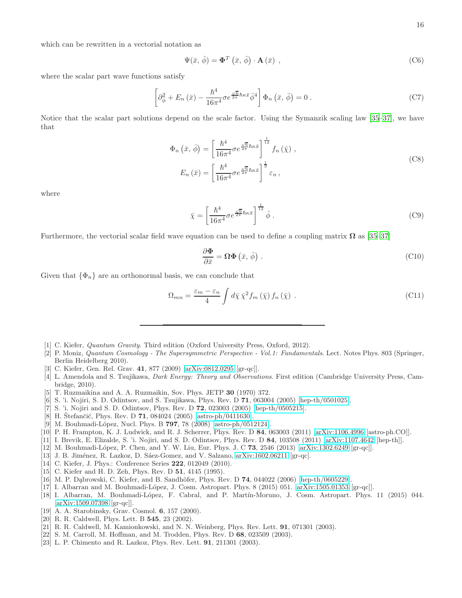which can be rewritten in a vectorial notation as

$$
\Psi(\bar{x}, \bar{\phi}) = \mathbf{\Phi}^T \left( \bar{x}, \bar{\phi} \right) \cdot \mathbf{A} \left( \bar{x} \right) , \tag{C6}
$$

where the scalar part wave functions satisfy

$$
\left[\partial_{\bar{\phi}}^2 + E_n(\bar{x}) - \frac{\hbar^4}{16\pi^4} \sigma e^{\frac{\sqrt{6}}{2\pi} \hbar \kappa \bar{x}} \bar{\phi}^4\right] \Phi_n(\bar{x}, \bar{\phi}) = 0.
$$
 (C7)

Notice that the scalar part solutions depend on the scale factor. Using the Symanzik scaling law [\[35](#page-16-12)[–37\]](#page-16-13), we have that

$$
\Phi_n(\bar{x}, \bar{\phi}) = \left[ \frac{\hbar^4}{16\pi^4} \sigma e^{\frac{\sqrt{6}}{2\pi} \hbar \kappa \bar{x}} \right]^{\frac{1}{12}} f_n(\bar{\chi}),
$$
\n
$$
E_n(\bar{x}) = \left[ \frac{\hbar^4}{16\pi^4} \sigma e^{\frac{\sqrt{6}}{2\pi} \hbar \kappa \bar{x}} \right]^{\frac{1}{3}} \varepsilon_n,
$$
\n(C8)

where

$$
\bar{\chi} = \left[\frac{\hbar^4}{16\pi^4} \sigma e^{\frac{\sqrt{6}}{2\pi} \hbar \kappa \bar{x}}\right]^{\frac{1}{12}} \bar{\phi} . \tag{C9}
$$

Furthermore, the vectorial scalar field wave equation can be used to define a coupling matrix  $\Omega$  as [\[35](#page-16-12)[–37\]](#page-16-13)

$$
\frac{\partial \Phi}{\partial \bar{x}} = \Omega \Phi \left( \bar{x}, \bar{\phi} \right). \tag{C10}
$$

Given that  $\{\Phi_n\}$  are an orthonormal basis, we can conclude that

$$
\Omega_{mn} = \frac{\varepsilon_m - \varepsilon_n}{4} \int d\bar{\chi} \, \bar{\chi}^2 f_m(\bar{\chi}) f_n(\bar{\chi}) . \tag{C11}
$$

- <span id="page-15-0"></span>[1] C. Kiefer, *Quantum Gravity*. Third edition (Oxford University Press, Oxford, 2012).
- <span id="page-15-1"></span>[2] P. Moniz, *Quantum Cosmology - The Supersymmetric Perspective - Vol.1: Fundamentals*. Lect. Notes Phys. 803 (Springer, Berlin Heidelberg 2010).
- <span id="page-15-2"></span>[3] C. Kiefer, Gen. Rel. Grav. 41, 877 (2009) [\[arXiv:0812.0295](http://arxiv.org/abs/0812.0295) [gr-qc]].
- <span id="page-15-3"></span>[4] L. Amendola and S. Tsujikawa, *Dark Energy: Theory and Observations*. First edition (Cambridge University Press, Cambridge, 2010).
- <span id="page-15-4"></span>[5] T. Ruzmaikina and A. A. Ruzmaikin, Sov. Phys. JETP 30 (1970) 372.
- <span id="page-15-16"></span>[6] S. 'i. Nojiri, S. D. Odintsov, and S. Tsujikawa, Phys. Rev. D 71, 063004 (2005) [\[hep-th/0501025\]](http://arxiv.org/abs/hep-th/0501025).
- <span id="page-15-17"></span>[7] S. 'i. Nojiri and S. D. Odintsov, Phys. Rev. D 72, 023003 (2005) [\[hep-th/0505215\]](http://arxiv.org/abs/hep-th/0505215).
- <span id="page-15-15"></span>[8] H. Stefančić, Phys. Rev. D **71**, 084024 (2005) [\[astro-ph/0411630\]](http://arxiv.org/abs/astro-ph/0411630).
- <span id="page-15-14"></span>[9] M. Bouhmadi-López, Nucl. Phys. B **797**, 78 (2008) [\[astro-ph/0512124\]](http://arxiv.org/abs/astro-ph/0512124).
- <span id="page-15-13"></span>[10] P. H. Frampton, K. J. Ludwick, and R. J. Scherrer, Phys. Rev. D 84, 063003 (2011) [\[arXiv:1106.4996](http://arxiv.org/abs/1106.4996) [astro-ph.CO]].
- [11] I. Brevik, E. Elizalde, S. 'i. Nojiri, and S. D. Odintsov, Phys. Rev. D 84, 103508 (2011) [\[arXiv:1107.4642](http://arxiv.org/abs/1107.4642) [hep-th]].
- <span id="page-15-5"></span>[12] M. Bouhmadi-López, P. Chen, and Y. W. Liu, Eur. Phys. J. C  $73$ , 2546 (2013) [\[arXiv:1302.6249](http://arxiv.org/abs/1302.6249) [gr-qc]].
- <span id="page-15-6"></span>[13] J. B. Jiménez, R. Lazkoz, D. Sáez-Gomez, and V. Salzano, [arXiv:1602.06211](http://arxiv.org/abs/1602.06211) [gr-qc].
- <span id="page-15-7"></span>[14] C. Kiefer, J. Phys.: Conference Series **222**, 012049 (2010).
- <span id="page-15-8"></span>[15] C. Kiefer and H. D. Zeh, Phys. Rev. D **51**, 4145 (1995).
- <span id="page-15-9"></span>[16] M. P. Dąbrowski, C. Kiefer, and B. Sandhöfer, Phys. Rev. D 74, 044022 (2006) [\[hep-th/0605229\]](http://arxiv.org/abs/hep-th/0605229).
- <span id="page-15-10"></span>[17] I. Albarran and M. Bouhmadi-López, J. Cosm. Astropart. Phys. 8 (2015) 051. [\[arXiv:1505.01353](http://arxiv.org/abs/1505.01353) [gr-qc]].
- <span id="page-15-11"></span>[18] I. Albarran, M. Bouhmadi-López, F. Cabral, and P. Martín-Moruno, J. Cosm. Astropart. Phys. 11 (2015) 044. [\[arXiv:1509.07398](http://arxiv.org/abs/1509.07398) [gr-qc]].
- <span id="page-15-12"></span>[19] A. A. Starobinsky, Grav. Cosmol. 6, 157 (2000).
- [20] R. R. Caldwell, Phys. Lett. B **545**, 23 (2002).
- [21] R. R. Caldwell, M. Kamionkowski, and N. N. Weinberg, Phys. Rev. Lett. 91, 071301 (2003).
- [22] S. M. Carroll, M. Hoffman, and M. Trodden, Phys. Rev. D 68, 023509 (2003).
- [23] L. P. Chimento and R. Lazkoz, Phys. Rev. Lett. 91, 211301 (2003).